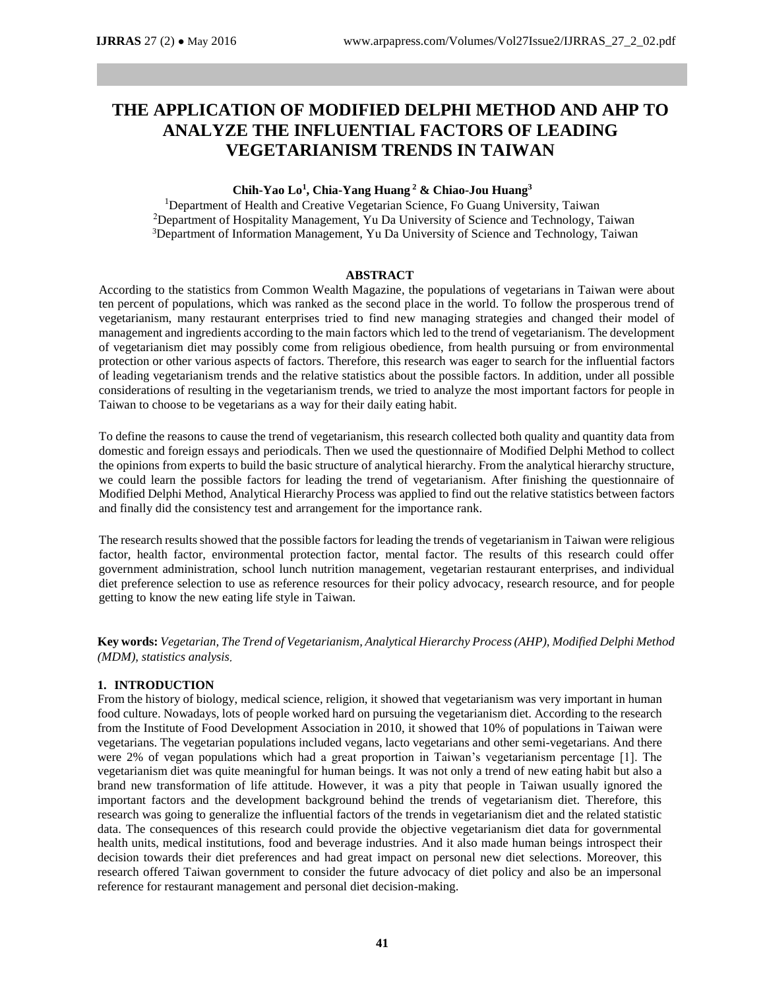# **THE APPLICATION OF MODIFIED DELPHI METHOD AND AHP TO ANALYZE THE INFLUENTIAL FACTORS OF LEADING VEGETARIANISM TRENDS IN TAIWAN**

#### **Chih-Yao Lo<sup>1</sup> , Chia-Yang Huang <sup>2</sup> & Chiao-Jou Huang<sup>3</sup>**

<sup>1</sup>Department of Health and Creative Vegetarian Science, Fo Guang University, Taiwan <sup>2</sup>Department of Hospitality Management, Yu Da University of Science and Technology, Taiwan <sup>3</sup>Department of Information Management, Yu Da University of Science and Technology, Taiwan

#### **ABSTRACT**

According to the statistics from Common Wealth Magazine, the populations of vegetarians in Taiwan were about ten percent of populations, which was ranked as the second place in the world. To follow the prosperous trend of vegetarianism, many restaurant enterprises tried to find new managing strategies and changed their model of management and ingredients according to the main factors which led to the trend of vegetarianism. The development of vegetarianism diet may possibly come from religious obedience, from health pursuing or from environmental protection or other various aspects of factors. Therefore, this research was eager to search for the influential factors of leading vegetarianism trends and the relative statistics about the possible factors. In addition, under all possible considerations of resulting in the vegetarianism trends, we tried to analyze the most important factors for people in Taiwan to choose to be vegetarians as a way for their daily eating habit.

To define the reasons to cause the trend of vegetarianism, this research collected both quality and quantity data from domestic and foreign essays and periodicals. Then we used the questionnaire of Modified Delphi Method to collect the opinions from experts to build the basic structure of analytical hierarchy. From the analytical hierarchy structure, we could learn the possible factors for leading the trend of vegetarianism. After finishing the questionnaire of Modified Delphi Method, Analytical Hierarchy Process was applied to find out the relative statistics between factors and finally did the consistency test and arrangement for the importance rank.

The research results showed that the possible factors for leading the trends of vegetarianism in Taiwan were religious factor, health factor, environmental protection factor, mental factor. The results of this research could offer government administration, school lunch nutrition management, vegetarian restaurant enterprises, and individual diet preference selection to use as reference resources for their policy advocacy, research resource, and for people getting to know the new eating life style in Taiwan.

**Key words:** *Vegetarian, The Trend of Vegetarianism, Analytical Hierarchy Process (AHP), Modified Delphi Method (MDM), statistics analysis*.

#### **1. INTRODUCTION**

From the history of biology, medical science, religion, it showed that vegetarianism was very important in human food culture. Nowadays, lots of people worked hard on pursuing the vegetarianism diet. According to the research from the Institute of Food Development Association in 2010, it showed that 10% of populations in Taiwan were vegetarians. The vegetarian populations included vegans, lacto vegetarians and other semi-vegetarians. And there were 2% of vegan populations which had a great proportion in Taiwan's vegetarianism percentage [1]. The vegetarianism diet was quite meaningful for human beings. It was not only a trend of new eating habit but also a brand new transformation of life attitude. However, it was a pity that people in Taiwan usually ignored the important factors and the development background behind the trends of vegetarianism diet. Therefore, this research was going to generalize the influential factors of the trends in vegetarianism diet and the related statistic data. The consequences of this research could provide the objective vegetarianism diet data for governmental health units, medical institutions, food and beverage industries. And it also made human beings introspect their decision towards their diet preferences and had great impact on personal new diet selections. Moreover, this research offered Taiwan government to consider the future advocacy of diet policy and also be an impersonal reference for restaurant management and personal diet decision-making.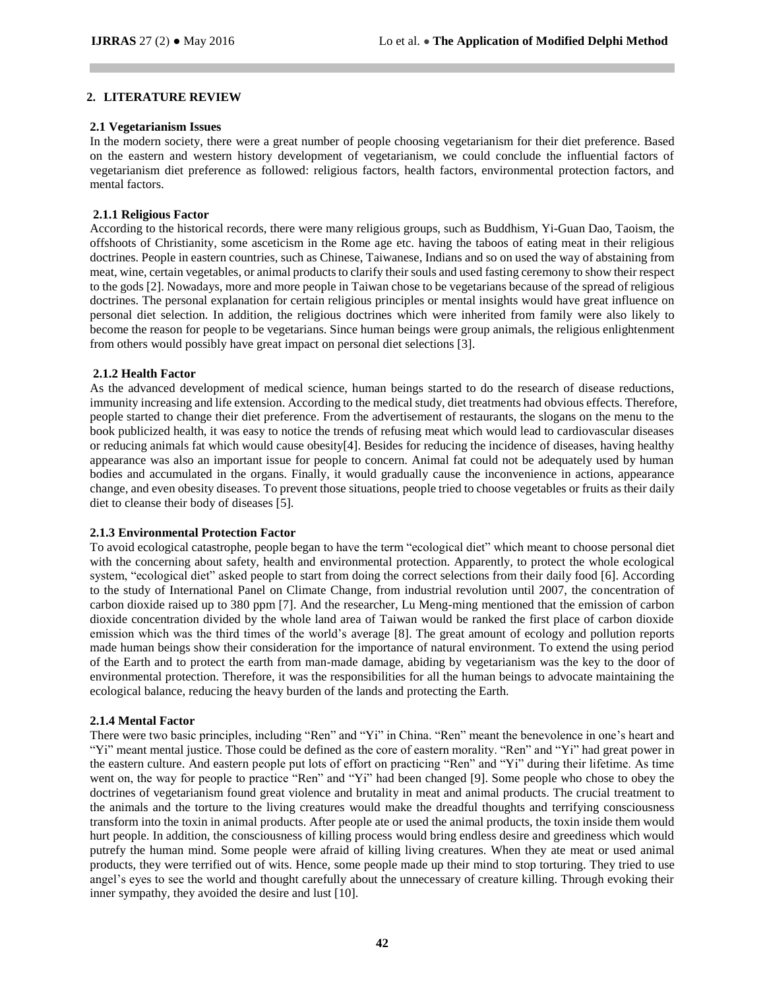#### **2. LITERATURE REVIEW**

#### **2.1 Vegetarianism Issues**

In the modern society, there were a great number of people choosing vegetarianism for their diet preference. Based on the eastern and western history development of vegetarianism, we could conclude the influential factors of vegetarianism diet preference as followed: religious factors, health factors, environmental protection factors, and mental factors.

#### **2.1.1 Religious Factor**

According to the historical records, there were many religious groups, such as Buddhism, Yi-Guan Dao, Taoism, the offshoots of Christianity, some asceticism in the Rome age etc. having the taboos of eating meat in their religious doctrines. People in eastern countries, such as Chinese, Taiwanese, Indians and so on used the way of abstaining from meat, wine, certain vegetables, or animal products to clarify their souls and used fasting ceremony to show their respect to the gods [2]. Nowadays, more and more people in Taiwan chose to be vegetarians because of the spread of religious doctrines. The personal explanation for certain religious principles or mental insights would have great influence on personal diet selection. In addition, the religious doctrines which were inherited from family were also likely to become the reason for people to be vegetarians. Since human beings were group animals, the religious enlightenment from others would possibly have great impact on personal diet selections [3].

#### **2.1.2 Health Factor**

As the advanced development of medical science, human beings started to do the research of disease reductions, immunity increasing and life extension. According to the medical study, diet treatments had obvious effects. Therefore, people started to change their diet preference. From the advertisement of restaurants, the slogans on the menu to the book publicized health, it was easy to notice the trends of refusing meat which would lead to cardiovascular diseases or reducing animals fat which would cause obesity[4]. Besides for reducing the incidence of diseases, having healthy appearance was also an important issue for people to concern. Animal fat could not be adequately used by human bodies and accumulated in the organs. Finally, it would gradually cause the inconvenience in actions, appearance change, and even obesity diseases. To prevent those situations, people tried to choose vegetables or fruits as their daily diet to cleanse their body of diseases [5].

## **2.1.3 Environmental Protection Factor**

To avoid ecological catastrophe, people began to have the term "ecological diet" which meant to choose personal diet with the concerning about safety, health and environmental protection. Apparently, to protect the whole ecological system, "ecological diet" asked people to start from doing the correct selections from their daily food [6]. According to the study of International Panel on Climate Change, from industrial revolution until 2007, the concentration of carbon dioxide raised up to 380 ppm [7]. And the researcher, Lu Meng-ming mentioned that the emission of carbon dioxide concentration divided by the whole land area of Taiwan would be ranked the first place of carbon dioxide emission which was the third times of the world's average [8]. The great amount of ecology and pollution reports made human beings show their consideration for the importance of natural environment. To extend the using period of the Earth and to protect the earth from man-made damage, abiding by vegetarianism was the key to the door of environmental protection. Therefore, it was the responsibilities for all the human beings to advocate maintaining the ecological balance, reducing the heavy burden of the lands and protecting the Earth.

#### **2.1.4 Mental Factor**

There were two basic principles, including "Ren" and "Yi" in China. "Ren" meant the benevolence in one's heart and "Yi" meant mental justice. Those could be defined as the core of eastern morality. "Ren" and "Yi" had great power in the eastern culture. And eastern people put lots of effort on practicing "Ren" and "Yi" during their lifetime. As time went on, the way for people to practice "Ren" and "Yi" had been changed [9]. Some people who chose to obey the doctrines of vegetarianism found great violence and brutality in meat and animal products. The crucial treatment to the animals and the torture to the living creatures would make the dreadful thoughts and terrifying consciousness transform into the toxin in animal products. After people ate or used the animal products, the toxin inside them would hurt people. In addition, the consciousness of killing process would bring endless desire and greediness which would putrefy the human mind. Some people were afraid of killing living creatures. When they ate meat or used animal products, they were terrified out of wits. Hence, some people made up their mind to stop torturing. They tried to use angel's eyes to see the world and thought carefully about the unnecessary of creature killing. Through evoking their inner sympathy, they avoided the desire and lust [10].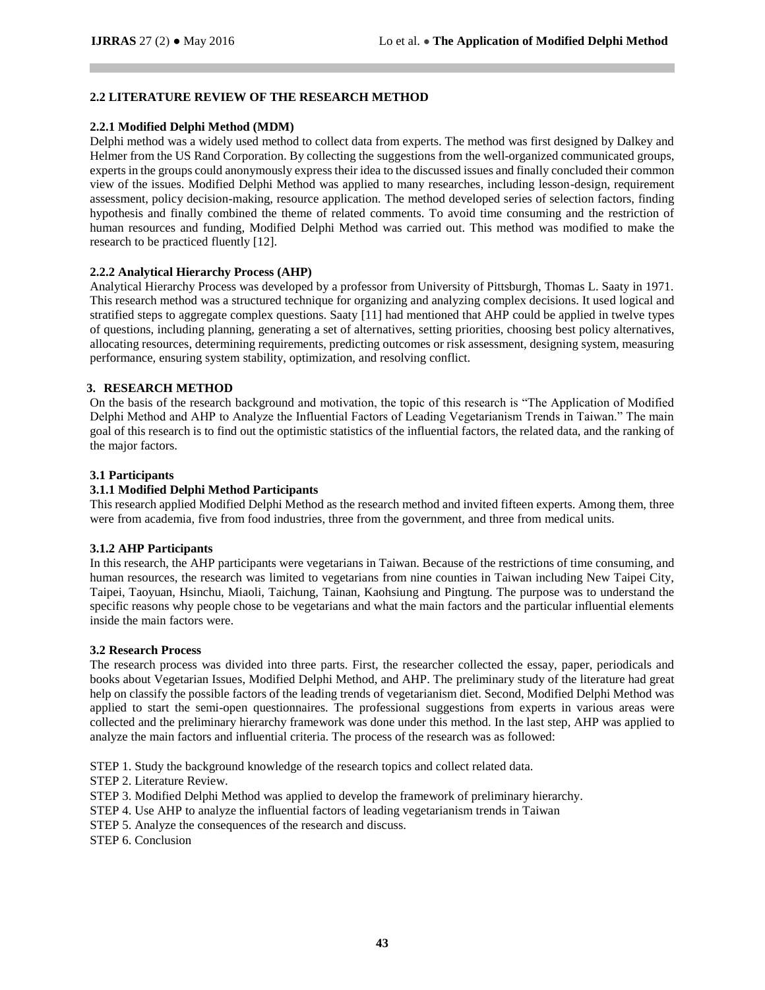## **2.2 LITERATURE REVIEW OF THE RESEARCH METHOD**

## **2.2.1 Modified Delphi Method (MDM)**

Delphi method was a widely used method to collect data from experts. The method was first designed by Dalkey and Helmer from the US Rand Corporation. By collecting the suggestions from the well-organized communicated groups, experts in the groups could anonymously express their idea to the discussed issues and finally concluded their common view of the issues. Modified Delphi Method was applied to many researches, including lesson-design, requirement assessment, policy decision-making, resource application. The method developed series of selection factors, finding hypothesis and finally combined the theme of related comments. To avoid time consuming and the restriction of human resources and funding, Modified Delphi Method was carried out. This method was modified to make the research to be practiced fluently [12].

## **2.2.2 Analytical Hierarchy Process (AHP)**

Analytical Hierarchy Process was developed by a professor from University of Pittsburgh, Thomas L. Saaty in 1971. This research method was a structured technique for organizing and analyzing complex decisions. It used logical and stratified steps to aggregate complex questions. Saaty [11] had mentioned that AHP could be applied in twelve types of questions, including planning, generating a set of alternatives, setting priorities, choosing best policy alternatives, allocating resources, determining requirements, predicting outcomes or risk assessment, designing system, measuring performance, ensuring system stability, optimization, and resolving conflict.

## **3. RESEARCH METHOD**

On the basis of the research background and motivation, the topic of this research is "The Application of Modified Delphi Method and AHP to Analyze the Influential Factors of Leading Vegetarianism Trends in Taiwan." The main goal of this research is to find out the optimistic statistics of the influential factors, the related data, and the ranking of the major factors.

## **3.1 Participants**

# **3.1.1 Modified Delphi Method Participants**

This research applied Modified Delphi Method as the research method and invited fifteen experts. Among them, three were from academia, five from food industries, three from the government, and three from medical units.

## **3.1.2 AHP Participants**

In this research, the AHP participants were vegetarians in Taiwan. Because of the restrictions of time consuming, and human resources, the research was limited to vegetarians from nine counties in Taiwan including New Taipei City, Taipei, Taoyuan, Hsinchu, Miaoli, Taichung, Tainan, Kaohsiung and Pingtung. The purpose was to understand the specific reasons why people chose to be vegetarians and what the main factors and the particular influential elements inside the main factors were.

## **3.2 Research Process**

The research process was divided into three parts. First, the researcher collected the essay, paper, periodicals and books about Vegetarian Issues, Modified Delphi Method, and AHP. The preliminary study of the literature had great help on classify the possible factors of the leading trends of vegetarianism diet. Second, Modified Delphi Method was applied to start the semi-open questionnaires. The professional suggestions from experts in various areas were collected and the preliminary hierarchy framework was done under this method. In the last step, AHP was applied to analyze the main factors and influential criteria. The process of the research was as followed:

STEP 1. Study the background knowledge of the research topics and collect related data.

STEP 2. Literature Review.

- STEP 3. Modified Delphi Method was applied to develop the framework of preliminary hierarchy.
- STEP 4. Use AHP to analyze the influential factors of leading vegetarianism trends in Taiwan
- STEP 5. Analyze the consequences of the research and discuss.
- STEP 6. Conclusion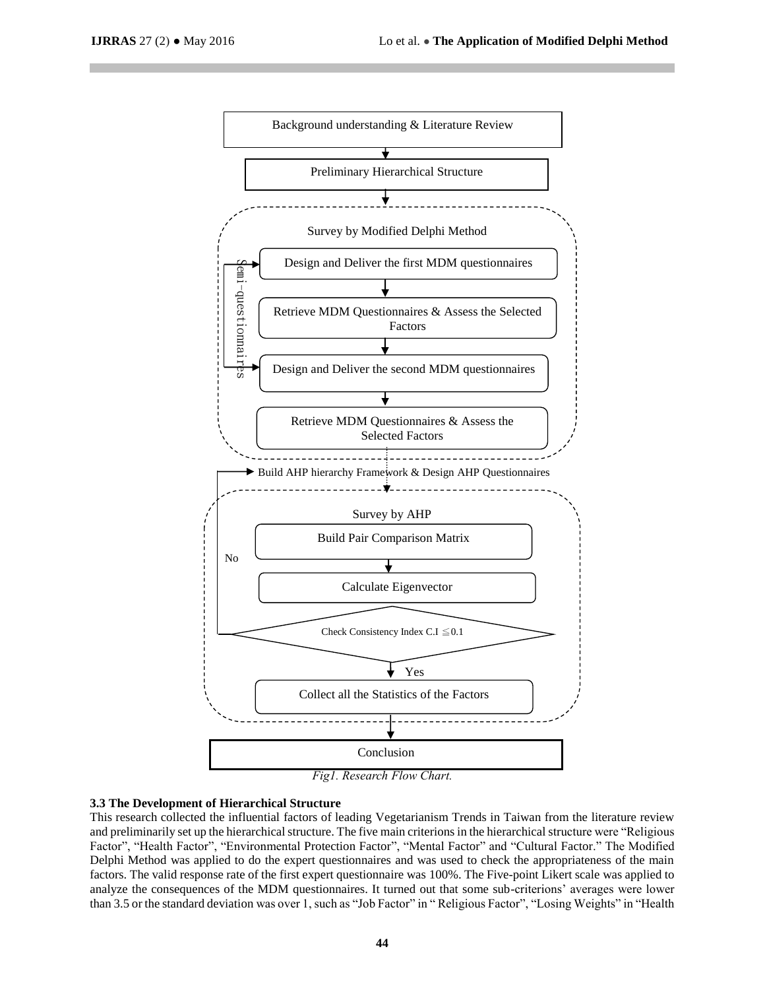

#### **3.3 The Development of Hierarchical Structure**

This research collected the influential factors of leading Vegetarianism Trends in Taiwan from the literature review and preliminarily set up the hierarchical structure. The five main criterions in the hierarchical structure were "Religious Factor", "Health Factor", "Environmental Protection Factor", "Mental Factor" and "Cultural Factor." The Modified Delphi Method was applied to do the expert questionnaires and was used to check the appropriateness of the main factors. The valid response rate of the first expert questionnaire was 100%. The Five-point Likert scale was applied to analyze the consequences of the MDM questionnaires. It turned out that some sub-criterions' averages were lower than 3.5 or the standard deviation was over 1, such as "Job Factor" in " Religious Factor", "Losing Weights" in "Health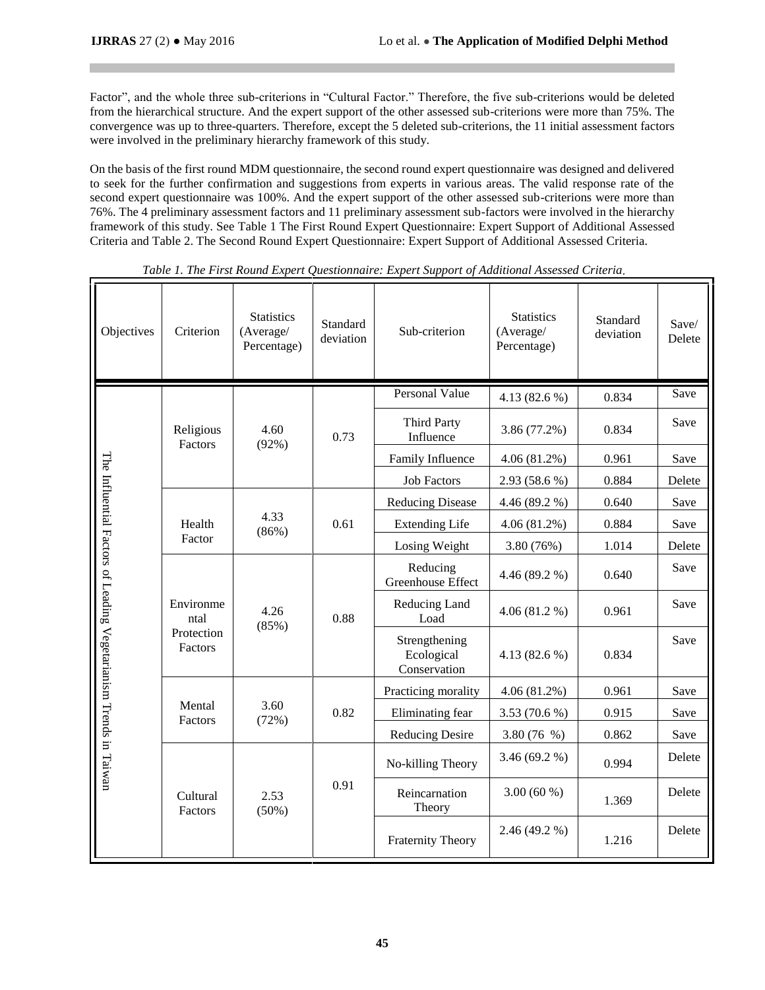Factor", and the whole three sub-criterions in "Cultural Factor." Therefore, the five sub-criterions would be deleted from the hierarchical structure. And the expert support of the other assessed sub-criterions were more than 75%. The convergence was up to three-quarters. Therefore, except the 5 deleted sub-criterions, the 11 initial assessment factors were involved in the preliminary hierarchy framework of this study.

On the basis of the first round MDM questionnaire, the second round expert questionnaire was designed and delivered to seek for the further confirmation and suggestions from experts in various areas. The valid response rate of the second expert questionnaire was 100%. And the expert support of the other assessed sub-criterions were more than 76%. The 4 preliminary assessment factors and 11 preliminary assessment sub-factors were involved in the hierarchy framework of this study. See Table 1 The First Round Expert Questionnaire: Expert Support of Additional Assessed Criteria and Table 2. The Second Round Expert Questionnaire: Expert Support of Additional Assessed Criteria.

| Objectives                                                        | Criterion                                  | <b>Statistics</b><br>(Average/<br>Percentage) | Standard<br>deviation | Sub-criterion                               | <b>Statistics</b><br>(Average/<br>Percentage) | Standard<br>deviation | Save/<br>Delete |
|-------------------------------------------------------------------|--------------------------------------------|-----------------------------------------------|-----------------------|---------------------------------------------|-----------------------------------------------|-----------------------|-----------------|
|                                                                   |                                            |                                               |                       | <b>Personal Value</b>                       | 4.13 $(82.6\%)$                               | 0.834                 | Save            |
|                                                                   | Religious<br>Factors                       | 4.60<br>(92%)                                 | 0.73                  | <b>Third Party</b><br>Influence             | 3.86 (77.2%)                                  | 0.834                 | Save            |
|                                                                   |                                            |                                               |                       | Family Influence                            | 4.06(81.2%)                                   | 0.961                 | Save            |
|                                                                   |                                            |                                               |                       | <b>Job Factors</b>                          | 2.93 (58.6 %)                                 | 0.884                 | Delete          |
|                                                                   |                                            | 4.33<br>(86%)                                 | 0.61                  | <b>Reducing Disease</b>                     | 4.46 (89.2 %)                                 | 0.640                 | Save            |
|                                                                   | Health<br>Factor                           |                                               |                       | <b>Extending Life</b>                       | 4.06(81.2%)                                   | 0.884                 | Save            |
|                                                                   |                                            |                                               |                       | Losing Weight                               | 3.80 (76%)                                    | 1.014                 | Delete          |
| The Influential Factors of Leading Vegetarianism Trends in Taiwan | Environme<br>ntal<br>Protection<br>Factors | 4.26<br>(85%)                                 | 0.88                  | Reducing<br>Greenhouse Effect               | 4.46 (89.2 %)                                 | 0.640                 | Save            |
|                                                                   |                                            |                                               |                       | Reducing Land<br>Load                       | 4.06(81.2%)                                   | 0.961                 | Save            |
|                                                                   |                                            |                                               |                       | Strengthening<br>Ecological<br>Conservation | 4.13 $(82.6\%)$                               | 0.834                 | Save            |
|                                                                   | Mental<br>Factors                          | 3.60<br>(72%)                                 | 0.82                  | Practicing morality                         | 4.06(81.2%)                                   | 0.961                 | Save            |
|                                                                   |                                            |                                               |                       | Eliminating fear                            | $3.53(70.6\%)$                                | 0.915                 | Save            |
|                                                                   |                                            |                                               |                       | Reducing Desire                             | 3.80 $(76 \%)$                                | 0.862                 | Save            |
|                                                                   | Cultural<br>Factors                        | 2.53<br>(50%)                                 | 0.91                  | No-killing Theory                           | 3.46(69.2%)                                   | 0.994                 | Delete          |
|                                                                   |                                            |                                               |                       | Reincarnation<br>Theory                     | $3.00(60\%)$                                  | 1.369                 | Delete          |
|                                                                   |                                            |                                               |                       | <b>Fraternity Theory</b>                    | 2.46 (49.2 %)                                 | 1.216                 | Delete          |

*Table 1. The First Round Expert Questionnaire: Expert Support of Additional Assessed Criteria*.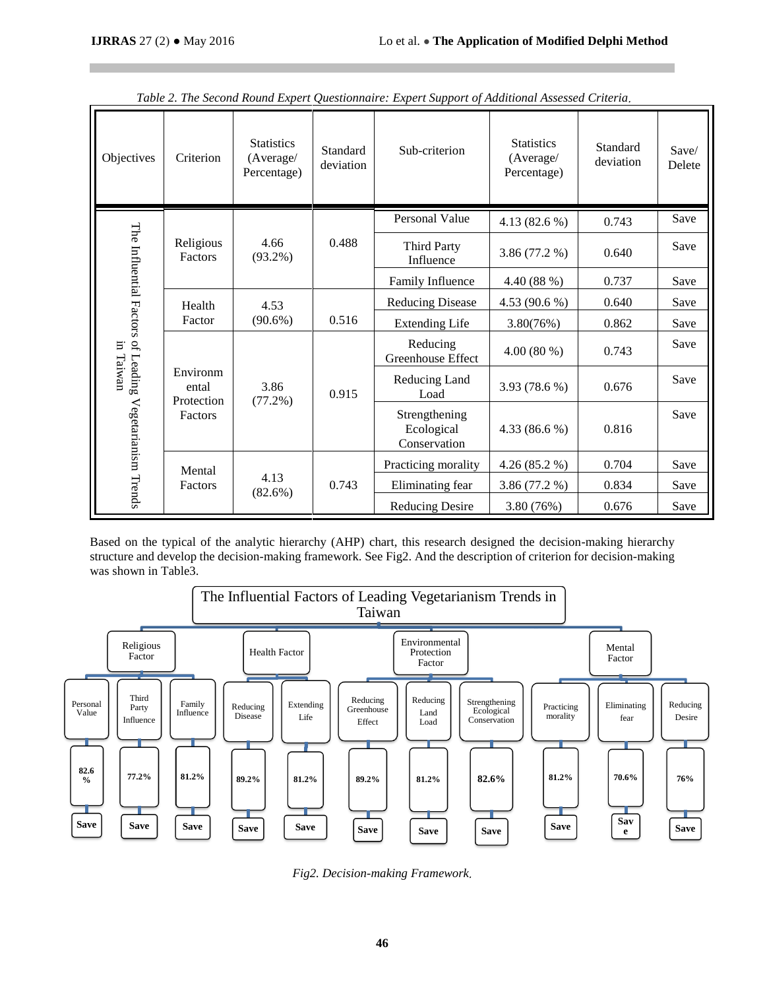| Objectives                                                              | Criterion                                  | <b>Statistics</b><br>(Average/<br>Percentage) | Standard<br>deviation | Sub-criterion                               | <b>Statistics</b><br>(Average/<br>Percentage) | Standard<br>deviation | Save/<br>Delete |
|-------------------------------------------------------------------------|--------------------------------------------|-----------------------------------------------|-----------------------|---------------------------------------------|-----------------------------------------------|-----------------------|-----------------|
|                                                                         |                                            |                                               |                       | Personal Value                              | 4.13 $(82.6\%)$                               | 0.743                 | Save            |
|                                                                         | Religious<br>Factors                       | 4.66<br>$(93.2\%)$                            | 0.488                 | <b>Third Party</b><br>Influence             | 3.86 (77.2 %)                                 | 0.640                 | Save            |
|                                                                         |                                            |                                               |                       | Family Influence                            | 4.40 (88 %)                                   | 0.737                 | Save            |
| The Influential Factors of Leading<br>in Taiwan<br>Vegetarianism Trends | Health<br>Factor                           | 4.53<br>$(90.6\%)$                            | 0.516                 | <b>Reducing Disease</b>                     | 4.53 (90.6 %)                                 | 0.640                 | Save            |
|                                                                         |                                            |                                               |                       | <b>Extending Life</b>                       | 3.80(76%)                                     | 0.862                 | Save            |
|                                                                         | Environm<br>ental<br>Protection<br>Factors | 3.86<br>$(77.2\%)$                            | 0.915                 | Reducing<br>Greenhouse Effect               | $4.00(80\%)$                                  | 0.743                 | Save            |
|                                                                         |                                            |                                               |                       | Reducing Land<br>Load                       | 3.93 (78.6 %)                                 | 0.676                 | Save            |
|                                                                         |                                            |                                               |                       | Strengthening<br>Ecological<br>Conservation | 4.33 $(86.6\%)$                               | 0.816                 | Save            |
|                                                                         | Mental<br>Factors                          | 4.13<br>$(82.6\%)$                            | 0.743                 | Practicing morality                         | 4.26(85.2%)                                   | 0.704                 | Save            |
|                                                                         |                                            |                                               |                       | Eliminating fear                            | 3.86(77.2%)                                   | 0.834                 | Save            |
|                                                                         |                                            |                                               |                       | <b>Reducing Desire</b>                      | 3.80 (76%)                                    | 0.676                 | Save            |

*Table 2. The Second Round Expert Questionnaire: Expert Support of Additional Assessed Criteria*.

Based on the typical of the analytic hierarchy (AHP) chart, this research designed the decision-making hierarchy structure and develop the decision-making framework. See Fig2. And the description of criterion for decision-making was shown in Table3.



*Fig2. Decision-making Framework*.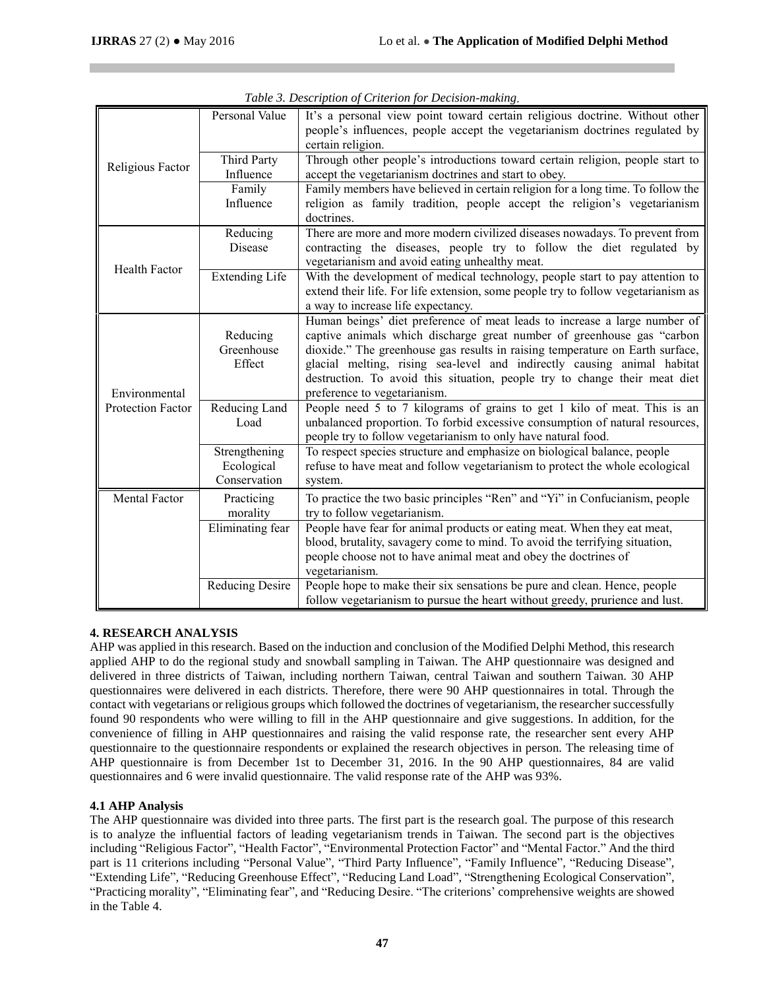|                          | Personal Value         | It's a personal view point toward certain religious doctrine. Without other<br>people's influences, people accept the vegetarianism doctrines regulated by<br>certain religion. |  |  |  |  |
|--------------------------|------------------------|---------------------------------------------------------------------------------------------------------------------------------------------------------------------------------|--|--|--|--|
|                          | <b>Third Party</b>     | Through other people's introductions toward certain religion, people start to                                                                                                   |  |  |  |  |
| Religious Factor         | Influence              | accept the vegetarianism doctrines and start to obey.                                                                                                                           |  |  |  |  |
|                          | Family                 | Family members have believed in certain religion for a long time. To follow the                                                                                                 |  |  |  |  |
|                          | Influence              | religion as family tradition, people accept the religion's vegetarianism                                                                                                        |  |  |  |  |
|                          |                        | doctrines.                                                                                                                                                                      |  |  |  |  |
|                          | Reducing               | There are more and more modern civilized diseases nowadays. To prevent from                                                                                                     |  |  |  |  |
|                          | Disease                | contracting the diseases, people try to follow the diet regulated by<br>vegetarianism and avoid eating unhealthy meat.                                                          |  |  |  |  |
| <b>Health Factor</b>     | <b>Extending Life</b>  | With the development of medical technology, people start to pay attention to                                                                                                    |  |  |  |  |
|                          |                        | extend their life. For life extension, some people try to follow vegetarianism as                                                                                               |  |  |  |  |
|                          |                        | a way to increase life expectancy.                                                                                                                                              |  |  |  |  |
|                          |                        | Human beings' diet preference of meat leads to increase a large number of                                                                                                       |  |  |  |  |
|                          | Reducing               | captive animals which discharge great number of greenhouse gas "carbon                                                                                                          |  |  |  |  |
|                          | Greenhouse             | dioxide." The greenhouse gas results in raising temperature on Earth surface,                                                                                                   |  |  |  |  |
|                          | Effect                 | glacial melting, rising sea-level and indirectly causing animal habitat                                                                                                         |  |  |  |  |
|                          |                        | destruction. To avoid this situation, people try to change their meat diet                                                                                                      |  |  |  |  |
| Environmental            |                        | preference to vegetarianism.                                                                                                                                                    |  |  |  |  |
| <b>Protection Factor</b> | Reducing Land          | People need 5 to 7 kilograms of grains to get 1 kilo of meat. This is an                                                                                                        |  |  |  |  |
|                          | Load                   | unbalanced proportion. To forbid excessive consumption of natural resources,<br>people try to follow vegetarianism to only have natural food.                                   |  |  |  |  |
|                          | Strengthening          | To respect species structure and emphasize on biological balance, people                                                                                                        |  |  |  |  |
|                          | Ecological             | refuse to have meat and follow vegetarianism to protect the whole ecological                                                                                                    |  |  |  |  |
|                          | Conservation           | system.                                                                                                                                                                         |  |  |  |  |
| Mental Factor            | Practicing             | To practice the two basic principles "Ren" and "Yi" in Confucianism, people                                                                                                     |  |  |  |  |
|                          | morality               | try to follow vegetarianism.                                                                                                                                                    |  |  |  |  |
|                          | Eliminating fear       | People have fear for animal products or eating meat. When they eat meat,                                                                                                        |  |  |  |  |
|                          |                        | blood, brutality, savagery come to mind. To avoid the terrifying situation,                                                                                                     |  |  |  |  |
|                          |                        | people choose not to have animal meat and obey the doctrines of                                                                                                                 |  |  |  |  |
|                          |                        | vegetarianism.                                                                                                                                                                  |  |  |  |  |
|                          | <b>Reducing Desire</b> | People hope to make their six sensations be pure and clean. Hence, people                                                                                                       |  |  |  |  |
|                          |                        | follow vegetarianism to pursue the heart without greedy, prurience and lust.                                                                                                    |  |  |  |  |

*Table 3. Description of Criterion for Decision-making*.

## **4. RESEARCH ANALYSIS**

AHP was applied in this research. Based on the induction and conclusion of the Modified Delphi Method, this research applied AHP to do the regional study and snowball sampling in Taiwan. The AHP questionnaire was designed and delivered in three districts of Taiwan, including northern Taiwan, central Taiwan and southern Taiwan. 30 AHP questionnaires were delivered in each districts. Therefore, there were 90 AHP questionnaires in total. Through the contact with vegetarians or religious groups which followed the doctrines of vegetarianism, the researcher successfully found 90 respondents who were willing to fill in the AHP questionnaire and give suggestions. In addition, for the convenience of filling in AHP questionnaires and raising the valid response rate, the researcher sent every AHP questionnaire to the questionnaire respondents or explained the research objectives in person. The releasing time of AHP questionnaire is from December 1st to December 31, 2016. In the 90 AHP questionnaires, 84 are valid questionnaires and 6 were invalid questionnaire. The valid response rate of the AHP was 93%.

# **4.1 AHP Analysis**

The AHP questionnaire was divided into three parts. The first part is the research goal. The purpose of this research is to analyze the influential factors of leading vegetarianism trends in Taiwan. The second part is the objectives including "Religious Factor", "Health Factor", "Environmental Protection Factor" and "Mental Factor." And the third part is 11 criterions including "Personal Value", "Third Party Influence", "Family Influence", "Reducing Disease", "Extending Life", "Reducing Greenhouse Effect", "Reducing Land Load", "Strengthening Ecological Conservation", "Practicing morality", "Eliminating fear", and "Reducing Desire. "The criterions' comprehensive weights are showed in the Table 4.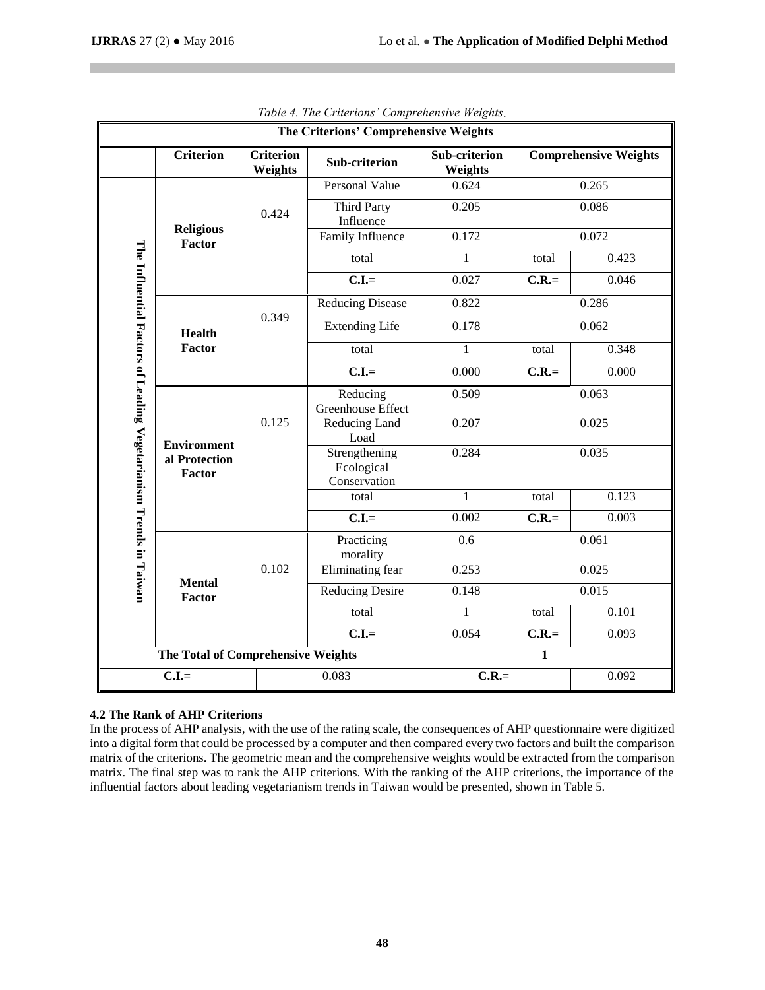| The Criterions' Comprehensive Weights                             |                                               |                             |                                             |                          |         |                              |
|-------------------------------------------------------------------|-----------------------------------------------|-----------------------------|---------------------------------------------|--------------------------|---------|------------------------------|
|                                                                   | <b>Criterion</b>                              | <b>Criterion</b><br>Weights | Sub-criterion                               | Sub-criterion<br>Weights |         | <b>Comprehensive Weights</b> |
|                                                                   |                                               |                             | Personal Value                              | 0.624                    |         | 0.265                        |
|                                                                   | <b>Religious</b><br>Factor                    | 0.424                       | <b>Third Party</b><br>Influence             | 0.205                    | 0.086   |                              |
|                                                                   |                                               |                             | <b>Family Influence</b>                     | 0.172                    |         | 0.072                        |
|                                                                   |                                               |                             | total                                       | $\mathbf{1}$             | total   | 0.423                        |
|                                                                   |                                               |                             | $C.I =$                                     | 0.027                    | $C.R.=$ | 0.046                        |
|                                                                   |                                               | 0.349                       | <b>Reducing Disease</b>                     | 0.822                    | 0.286   |                              |
|                                                                   | <b>Health</b>                                 |                             | <b>Extending Life</b>                       | 0.178                    | 0.062   |                              |
|                                                                   | Factor                                        |                             | total                                       | $\mathbf{1}$             | total   | 0.348                        |
|                                                                   |                                               |                             | $C.I =$                                     | 0.000                    | $C.R.=$ | 0.000                        |
|                                                                   | <b>Environment</b><br>al Protection<br>Factor |                             | Reducing<br>Greenhouse Effect               | 0.509                    |         | 0.063                        |
|                                                                   |                                               | 0.125                       | Reducing Land<br>Load                       | 0.207                    |         | 0.025                        |
|                                                                   |                                               |                             | Strengthening<br>Ecological<br>Conservation | 0.284                    |         | 0.035                        |
|                                                                   |                                               |                             | total                                       | 1                        | total   | 0.123                        |
|                                                                   |                                               |                             | $C.I =$                                     | 0.002                    | $C.R.=$ | 0.003                        |
|                                                                   | <b>Mental</b><br>Factor                       |                             | Practicing<br>morality                      | $\overline{0.6}$         |         | 0.061                        |
| The Influential Factors of Leading Vegetarianism Trends in Taiwan |                                               | 0.102                       | <b>Eliminating fear</b>                     | 0.253                    | 0.025   |                              |
|                                                                   |                                               |                             | <b>Reducing Desire</b>                      | 0.148                    | 0.015   |                              |
|                                                                   |                                               |                             | total                                       | 1                        | total   | 0.101                        |
|                                                                   |                                               |                             | $C.I =$                                     | 0.054                    | $C.R.=$ | 0.093                        |
|                                                                   | The Total of Comprehensive Weights            |                             |                                             | $\mathbf{1}$             |         |                              |
|                                                                   | $C.I =$                                       |                             | 0.083                                       | $C.R.=$                  | 0.092   |                              |

*Table 4. The Criterions' Comprehensive Weights*.

## **4.2 The Rank of AHP Criterions**

In the process of AHP analysis, with the use of the rating scale, the consequences of AHP questionnaire were digitized into a digital form that could be processed by a computer and then compared every two factors and built the comparison matrix of the criterions. The geometric mean and the comprehensive weights would be extracted from the comparison matrix. The final step was to rank the AHP criterions. With the ranking of the AHP criterions, the importance of the influential factors about leading vegetarianism trends in Taiwan would be presented, shown in Table 5.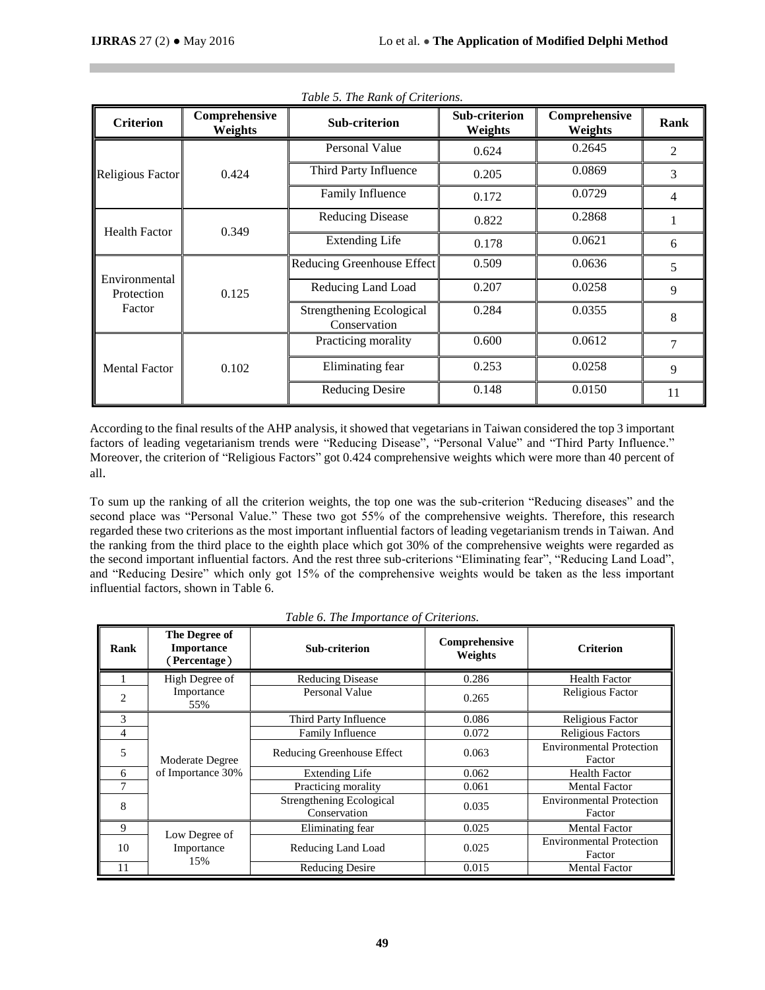| <b>Criterion</b>            | Comprehensive<br>Weights | <b>Sub-criterion</b>                            | <b>Sub-criterion</b><br>Weights | Comprehensive<br>Weights | Rank           |
|-----------------------------|--------------------------|-------------------------------------------------|---------------------------------|--------------------------|----------------|
|                             | 0.424                    | Personal Value                                  | 0.624                           | 0.2645                   | $\overline{2}$ |
| Religious Factor            |                          | Third Party Influence                           | 0.205                           | 0.0869                   | 3              |
|                             |                          | Family Influence                                | 0.172                           | 0.0729                   | 4              |
|                             | 0.349                    | <b>Reducing Disease</b>                         | 0.822                           | 0.2868                   |                |
| <b>Health Factor</b>        |                          | <b>Extending Life</b>                           | 0.178                           | 0.0621                   | 6              |
|                             | 0.125                    | Reducing Greenhouse Effect                      | 0.509                           | 0.0636                   | 5              |
| Environmental<br>Protection |                          | Reducing Land Load                              | 0.207                           | 0.0258                   | 9              |
| Factor                      |                          | <b>Strengthening Ecological</b><br>Conservation | 0.284                           | 0.0355                   | 8              |
| <b>Mental Factor</b>        | 0.102                    | Practicing morality                             |                                 | 0.0612                   | 7              |
|                             |                          | Eliminating fear                                | 0.253                           | 0.0258                   | 9              |
|                             |                          | <b>Reducing Desire</b>                          | 0.148                           | 0.0150                   | 11             |

*Table 5. The Rank of Criterions.*

According to the final results of the AHP analysis, it showed that vegetarians in Taiwan considered the top 3 important factors of leading vegetarianism trends were "Reducing Disease", "Personal Value" and "Third Party Influence." Moreover, the criterion of "Religious Factors" got 0.424 comprehensive weights which were more than 40 percent of all.

To sum up the ranking of all the criterion weights, the top one was the sub-criterion "Reducing diseases" and the second place was "Personal Value." These two got 55% of the comprehensive weights. Therefore, this research regarded these two criterions as the most important influential factors of leading vegetarianism trends in Taiwan. And the ranking from the third place to the eighth place which got 30% of the comprehensive weights were regarded as the second important influential factors. And the rest three sub-criterions "Eliminating fear", "Reducing Land Load", and "Reducing Desire" which only got 15% of the comprehensive weights would be taken as the less important influential factors, shown in Table 6.

| Rank | The Degree of<br><b>Importance</b><br>(Percentage) | Sub-criterion                            | Comprehensive<br>Weights | <b>Criterion</b>                          |
|------|----------------------------------------------------|------------------------------------------|--------------------------|-------------------------------------------|
|      | High Degree of                                     | <b>Reducing Disease</b>                  | 0.286                    | <b>Health Factor</b>                      |
| 2    | Importance<br>55%                                  | Personal Value                           | 0.265                    | Religious Factor                          |
| 3    | Moderate Degree<br>of Importance 30%               | Third Party Influence                    | 0.086                    | Religious Factor                          |
| 4    |                                                    | <b>Family Influence</b>                  | 0.072                    | <b>Religious Factors</b>                  |
| 5    |                                                    | Reducing Greenhouse Effect               | 0.063                    | <b>Environmental Protection</b><br>Factor |
| 6    |                                                    | <b>Extending Life</b>                    | 0.062                    | <b>Health Factor</b>                      |
| 7    |                                                    | Practicing morality                      | 0.061                    | <b>Mental Factor</b>                      |
| 8    |                                                    | Strengthening Ecological<br>Conservation | 0.035                    | <b>Environmental Protection</b><br>Factor |
| 9    |                                                    | Eliminating fear                         | 0.025                    | <b>Mental Factor</b>                      |
| 10   | Low Degree of<br>Importance<br>15%                 | Reducing Land Load                       | 0.025                    | <b>Environmental Protection</b><br>Factor |
| 11   |                                                    | <b>Reducing Desire</b>                   | 0.015                    | <b>Mental Factor</b>                      |

*Table 6. The Importance of Criterions.*

**49**